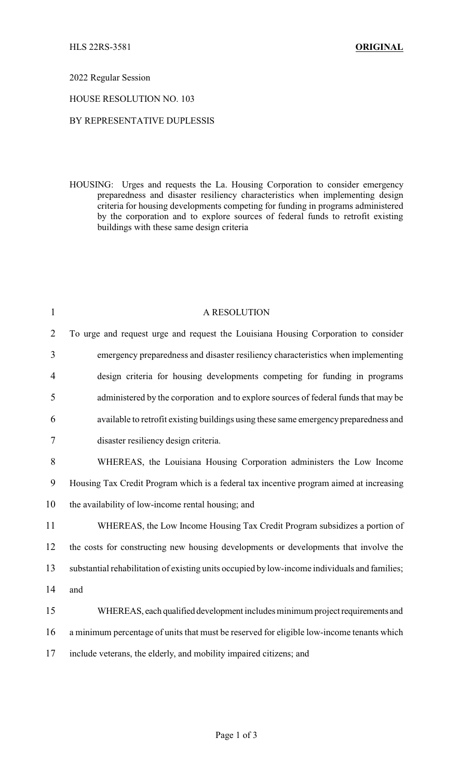## 2022 Regular Session

#### HOUSE RESOLUTION NO. 103

## BY REPRESENTATIVE DUPLESSIS

HOUSING: Urges and requests the La. Housing Corporation to consider emergency preparedness and disaster resiliency characteristics when implementing design criteria for housing developments competing for funding in programs administered by the corporation and to explore sources of federal funds to retrofit existing buildings with these same design criteria

| $\mathbf{1}$   | A RESOLUTION                                                                                  |
|----------------|-----------------------------------------------------------------------------------------------|
| $\overline{2}$ | To urge and request urge and request the Louisiana Housing Corporation to consider            |
| $\mathfrak{Z}$ | emergency preparedness and disaster resiliency characteristics when implementing              |
| 4              | design criteria for housing developments competing for funding in programs                    |
| 5              | administered by the corporation and to explore sources of federal funds that may be           |
| 6              | available to retrofit existing buildings using these same emergency preparedness and          |
| $\tau$         | disaster resiliency design criteria.                                                          |
| 8              | WHEREAS, the Louisiana Housing Corporation administers the Low Income                         |
| 9              | Housing Tax Credit Program which is a federal tax incentive program aimed at increasing       |
| 10             | the availability of low-income rental housing; and                                            |
| 11             | WHEREAS, the Low Income Housing Tax Credit Program subsidizes a portion of                    |
| 12             | the costs for constructing new housing developments or developments that involve the          |
| 13             | substantial rehabilitation of existing units occupied by low-income individuals and families; |
| 14             | and                                                                                           |
| 15             | WHEREAS, each qualified development includes minimum project requirements and                 |
| 16             | a minimum percentage of units that must be reserved for eligible low-income tenants which     |
| 17             | include veterans, the elderly, and mobility impaired citizens; and                            |
|                |                                                                                               |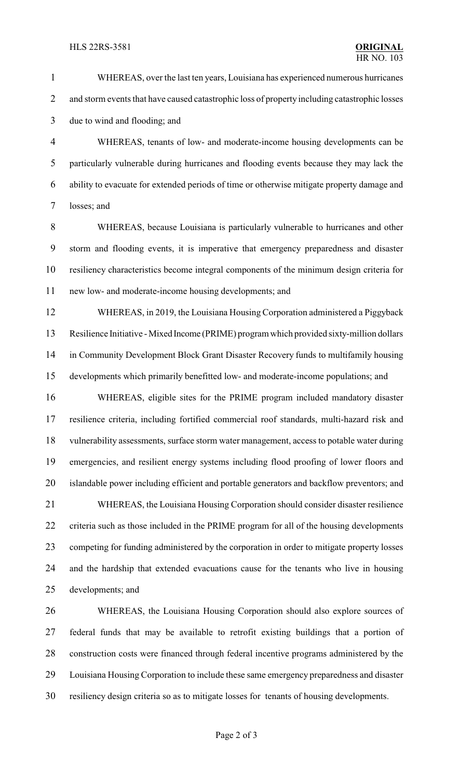WHEREAS, over the last ten years, Louisiana has experienced numerous hurricanes 2 and storm events that have caused catastrophic loss of property including catastrophic losses due to wind and flooding; and

 WHEREAS, tenants of low- and moderate-income housing developments can be particularly vulnerable during hurricanes and flooding events because they may lack the ability to evacuate for extended periods of time or otherwise mitigate property damage and losses; and

 WHEREAS, because Louisiana is particularly vulnerable to hurricanes and other storm and flooding events, it is imperative that emergency preparedness and disaster resiliency characteristics become integral components of the minimum design criteria for new low- and moderate-income housing developments; and

 WHEREAS, in 2019, the Louisiana Housing Corporation administered a Piggyback Resilience Initiative -Mixed Income (PRIME) program which provided sixty-million dollars in Community Development Block Grant Disaster Recovery funds to multifamily housing developments which primarily benefitted low- and moderate-income populations; and

 WHEREAS, eligible sites for the PRIME program included mandatory disaster resilience criteria, including fortified commercial roof standards, multi-hazard risk and vulnerability assessments, surface storm water management, access to potable water during emergencies, and resilient energy systems including flood proofing of lower floors and islandable power including efficient and portable generators and backflow preventors; and

 WHEREAS, the Louisiana Housing Corporation should consider disaster resilience criteria such as those included in the PRIME program for all of the housing developments competing for funding administered by the corporation in order to mitigate property losses and the hardship that extended evacuations cause for the tenants who live in housing developments; and

 WHEREAS, the Louisiana Housing Corporation should also explore sources of federal funds that may be available to retrofit existing buildings that a portion of construction costs were financed through federal incentive programs administered by the Louisiana Housing Corporation to include these same emergency preparedness and disaster resiliency design criteria so as to mitigate losses for tenants of housing developments.